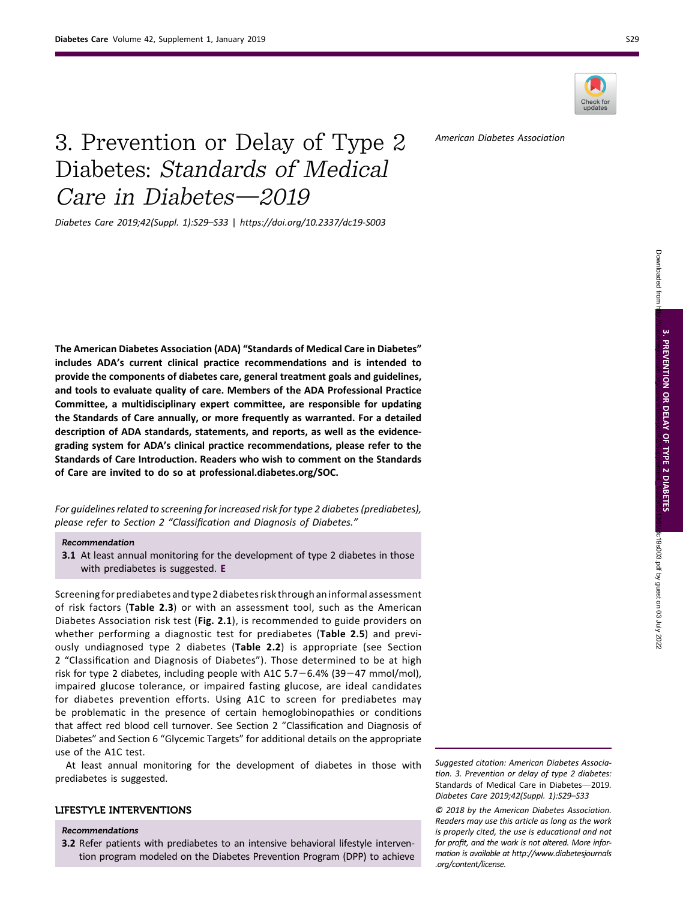

American Diabetes Association

# 3. Prevention or Delay of Type 2 Diabetes: Standards of Medical Care in Diabetes $-2019$

Diabetes Care 2019;42(Suppl. 1):S29–S33 | <https://doi.org/10.2337/dc19-S003>

The American Diabetes Association (ADA) "Standards of Medical Care in Diabetes" includes ADA's current clinical practice recommendations and is intended to provide the components of diabetes care, general treatment goals and guidelines, and tools to evaluate quality of care. Members of the [ADA Professional Practice](http://care.diabetesjournals.org/lookup/doi/10.2337/dc19-sppc01) [Committee](http://care.diabetesjournals.org/lookup/doi/10.2337/dc19-sppc01), a multidisciplinary expert committee, are responsible for updating the Standards of Care annually, or more frequently as warranted. For a detailed description of ADA standards, statements, and reports, as well as the evidencegrading system for ADA's clinical practice recommendations, please refer to the [Standards of Care Introduction](http://care.diabetesjournals.org/lookup/doi/10.2337/dc19-sint01). Readers who wish to comment on the Standards of Care are invited to do so at [professional.diabetes.org/SOC.](http://professional.diabetes.org/SOC)

For guidelines related to screening for increased risk for type 2 diabetes (prediabetes), please refer to Section 2 "Classifi[cation and Diagnosis of Diabetes.](http://care.diabetesjournals.org/lookup/doi/10.2337/dc19-S002)"

#### Recommendation

3.1 At least annual monitoring for the development of type 2 diabetes in those with prediabetes is suggested. E

Screening for prediabetes and type 2 diabetes risk through an informal assessment of risk factors ([Table 2.3](http://care.diabetesjournals.org/content/42/Supplement_1/s17#T3)) or with an assessment tool, such as the American Diabetes Association risk test ([Fig. 2.1](http://care.diabetesjournals.org/content/42/Supplement_1/s19#F1)), is recommended to guide providers on whether performing a diagnostic test for prediabetes ([Table 2.5](http://care.diabetesjournals.org/content/42/Supplement_1/s18#T5)) and previously undiagnosed type 2 diabetes ([Table 2.2](http://care.diabetesjournals.org/content/42/Supplement_1/s15#T2)) is appropriate (see Section 2 "Classifi[cation and Diagnosis of Diabetes](http://care.diabetesjournals.org/lookup/doi/10.2337/dc19-S002)"). Those determined to be at high risk for type 2 diabetes, including people with A1C  $5.7-6.4\%$  (39 $-47$  mmol/mol), impaired glucose tolerance, or impaired fasting glucose, are ideal candidates for diabetes prevention efforts. Using A1C to screen for prediabetes may be problematic in the presence of certain hemoglobinopathies or conditions that affect red blood cell turnover. See Section 2 "Classifi[cation and Diagnosis of](http://care.diabetesjournals.org/lookup/doi/10.2337/dc19-S002) [Diabetes](http://care.diabetesjournals.org/lookup/doi/10.2337/dc19-S002)" and Section 6 "[Glycemic Targets](http://care.diabetesjournals.org/lookup/doi/10.2337/dc19-S006)" for additional details on the appropriate use of the A1C test.

At least annual monitoring for the development of diabetes in those with prediabetes is suggested.

## LIFESTYLE INTERVENTIONS

### Recommendations

3.2 Refer patients with prediabetes to an intensive behavioral lifestyle intervention program modeled on the Diabetes Prevention Program (DPP) to achieve Downloaded from

Suggested citation: American Diabetes Association. 3. Prevention or delay of type 2 diabetes: Standards of Medical Care in Diabetes-2019. Diabetes Care 2019;42(Suppl. 1):S29–S33

© 2018 by the American Diabetes Association. Readers may use this article as long as the work is properly cited, the use is educational and not for profit, and the work is not altered. More information is available at [http://www.diabetesjournals](http://www.diabetesjournals.org/content/license) [.org/content/license](http://www.diabetesjournals.org/content/license).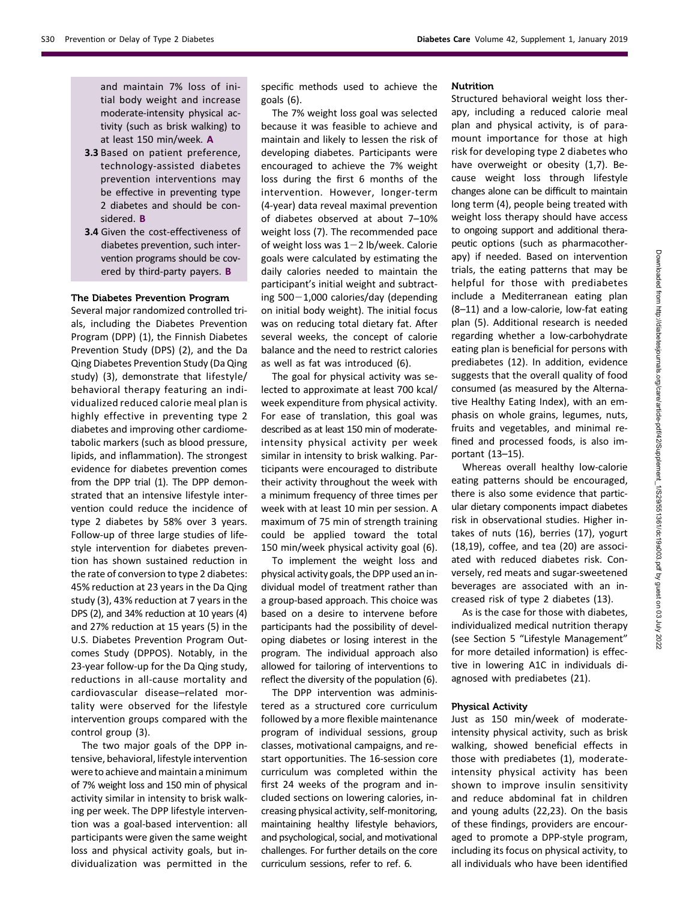and maintain 7% loss of initial body weight and increase moderate-intensity physical activity (such as brisk walking) to at least 150 min/week. A

- 3.3 Based on patient preference, technology-assisted diabetes prevention interventions may be effective in preventing type 2 diabetes and should be considered. B
- 3.4 Given the cost-effectiveness of diabetes prevention, such intervention programs should be covered by third-party payers. B

#### The Diabetes Prevention Program

Several major randomized controlled trials, including the Diabetes Prevention Program (DPP) (1), the Finnish Diabetes Prevention Study (DPS) (2), and the Da Qing Diabetes Prevention Study (Da Qing study) (3), demonstrate that lifestyle/ behavioral therapy featuring an individualized reduced calorie meal plan is highly effective in preventing type 2 diabetes and improving other cardiometabolic markers (such as blood pressure, lipids, and inflammation). The strongest evidence for diabetes prevention comes from the DPP trial (1). The DPP demonstrated that an intensive lifestyle intervention could reduce the incidence of type 2 diabetes by 58% over 3 years. Follow-up of three large studies of lifestyle intervention for diabetes prevention has shown sustained reduction in the rate of conversion to type 2 diabetes: 45% reduction at 23 years in the Da Qing study (3), 43% reduction at 7 years in the DPS (2), and 34% reduction at 10 years (4) and 27% reduction at 15 years (5) in the U.S. Diabetes Prevention Program Outcomes Study (DPPOS). Notably, in the 23-year follow-up for the Da Qing study, reductions in all-cause mortality and cardiovascular disease–related mortality were observed for the lifestyle intervention groups compared with the control group (3).

The two major goals of the DPP intensive, behavioral, lifestyle intervention were to achieve and maintain a minimum of 7% weight loss and 150 min of physical activity similar in intensity to brisk walking per week. The DPP lifestyle intervention was a goal-based intervention: all participants were given the same weight loss and physical activity goals, but individualization was permitted in the

specific methods used to achieve the goals (6).

The 7% weight loss goal was selected because it was feasible to achieve and maintain and likely to lessen the risk of developing diabetes. Participants were encouraged to achieve the 7% weight loss during the first 6 months of the intervention. However, longer-term (4-year) data reveal maximal prevention of diabetes observed at about 7–10% weight loss (7). The recommended pace of weight loss was  $1-2$  lb/week. Calorie goals were calculated by estimating the daily calories needed to maintain the participant's initial weight and subtracting  $500-1,000$  calories/day (depending on initial body weight). The initial focus was on reducing total dietary fat. After several weeks, the concept of calorie balance and the need to restrict calories as well as fat was introduced (6).

The goal for physical activity was selected to approximate at least 700 kcal/ week expenditure from physical activity. For ease of translation, this goal was described as at least 150 min of moderateintensity physical activity per week similar in intensity to brisk walking. Participants were encouraged to distribute their activity throughout the week with a minimum frequency of three times per week with at least 10 min per session. A maximum of 75 min of strength training could be applied toward the total 150 min/week physical activity goal (6).

To implement the weight loss and physical activity goals, the DPP used an individual model of treatment rather than a group-based approach. This choice was based on a desire to intervene before participants had the possibility of developing diabetes or losing interest in the program. The individual approach also allowed for tailoring of interventions to reflect the diversity of the population (6).

The DPP intervention was administered as a structured core curriculum followed by a more flexible maintenance program of individual sessions, group classes, motivational campaigns, and restart opportunities. The 16-session core curriculum was completed within the first 24 weeks of the program and included sections on lowering calories, increasing physical activity, self-monitoring, maintaining healthy lifestyle behaviors, and psychological, social, and motivational challenges. For further details on the core curriculum sessions, refer to ref. 6.

#### Nutrition

Structured behavioral weight loss therapy, including a reduced calorie meal plan and physical activity, is of paramount importance for those at high risk for developing type 2 diabetes who have overweight or obesity (1,7). Because weight loss through lifestyle changes alone can be difficult to maintain long term (4), people being treated with weight loss therapy should have access to ongoing support and additional therapeutic options (such as pharmacotherapy) if needed. Based on intervention trials, the eating patterns that may be helpful for those with prediabetes include a Mediterranean eating plan (8–11) and a low-calorie, low-fat eating plan (5). Additional research is needed regarding whether a low-carbohydrate eating plan is beneficial for persons with prediabetes (12). In addition, evidence suggests that the overall quality of food consumed (as measured by the Alternative Healthy Eating Index), with an emphasis on whole grains, legumes, nuts, fruits and vegetables, and minimal refined and processed foods, is also important (13–15).

Whereas overall healthy low-calorie eating patterns should be encouraged, there is also some evidence that particular dietary components impact diabetes risk in observational studies. Higher intakes of nuts (16), berries (17), yogurt (18,19), coffee, and tea (20) are associated with reduced diabetes risk. Conversely, red meats and sugar-sweetened beverages are associated with an increased risk of type 2 diabetes (13).

As is the case for those with diabetes, individualized medical nutrition therapy (see Section 5 "[Lifestyle Management](http://care.diabetesjournals.org/lookup/doi/10.2337/dc19-S005)" for more detailed information) is effective in lowering A1C in individuals diagnosed with prediabetes (21).

#### Physical Activity

Just as 150 min/week of moderateintensity physical activity, such as brisk walking, showed beneficial effects in those with prediabetes (1), moderateintensity physical activity has been shown to improve insulin sensitivity and reduce abdominal fat in children and young adults (22,23). On the basis of these findings, providers are encouraged to promote a DPP-style program, including its focus on physical activity, to all individuals who have been identified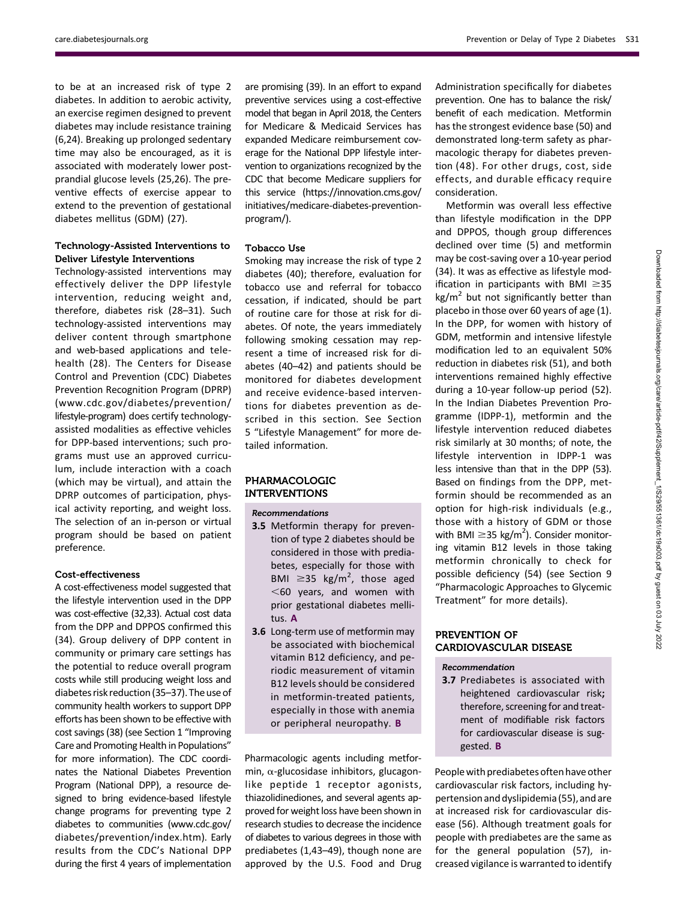[care.diabetesjournals.org](http://care.diabetesjournals.org) Prevention or Delay of Type 2 Diabetes S31

to be at an increased risk of type 2 diabetes. In addition to aerobic activity, an exercise regimen designed to prevent diabetes may include resistance training (6,24). Breaking up prolonged sedentary time may also be encouraged, as it is associated with moderately lower postprandial glucose levels (25,26). The preventive effects of exercise appear to extend to the prevention of gestational diabetes mellitus (GDM) (27).

# Technology-Assisted Interventions to Deliver Lifestyle Interventions

Technology-assisted interventions may effectively deliver the DPP lifestyle intervention, reducing weight and, therefore, diabetes risk (28–31). Such technology-assisted interventions may deliver content through smartphone and web-based applications and telehealth (28). The Centers for Disease Control and Prevention (CDC) Diabetes Prevention Recognition Program (DPRP) ([www.cdc.gov/diabetes/prevention/](http://www.cdc.gov/diabetes/prevention/lifestyle-program) [lifestyle-program\)](http://www.cdc.gov/diabetes/prevention/lifestyle-program) does certify technologyassisted modalities as effective vehicles for DPP-based interventions; such programs must use an approved curriculum, include interaction with a coach (which may be virtual), and attain the DPRP outcomes of participation, physical activity reporting, and weight loss. The selection of an in-person or virtual program should be based on patient preference.

#### Cost-effectiveness

A cost-effectiveness model suggested that the lifestyle intervention used in the DPP was cost-effective (32,33). Actual cost data from the DPP and DPPOS confirmed this (34). Group delivery of DPP content in community or primary care settings has the potential to reduce overall program costs while still producing weight loss and diabetes risk reduction (35–37).The use of community health workers to support DPP efforts has been shown to be effective with cost savings (38) (see Section 1 "[Improving](http://care.diabetesjournals.org/lookup/doi/10.2337/dc19-S001) [Care and Promoting Health in Populations](http://care.diabetesjournals.org/lookup/doi/10.2337/dc19-S001)" for more information). The CDC coordinates the National Diabetes Prevention Program (National DPP), a resource designed to bring evidence-based lifestyle change programs for preventing type 2 diabetes to communities [\(www.cdc.gov/](http://www.cdc.gov/diabetes/prevention/index.htm) [diabetes/prevention/index.htm](http://www.cdc.gov/diabetes/prevention/index.htm)). Early results from the CDC's National DPP during the first 4 years of implementation

are promising (39). In an effort to expand preventive services using a cost-effective model that began in April 2018, the Centers for Medicare & Medicaid Services has expanded Medicare reimbursement coverage for the National DPP lifestyle intervention to organizations recognized by the CDC that become Medicare suppliers for this service ([https://innovation.cms.gov/](https://innovation.cms.gov/initiatives/medicare-diabetes-prevention-program/) [initiatives/medicare-diabetes-prevention](https://innovation.cms.gov/initiatives/medicare-diabetes-prevention-program/)[program/](https://innovation.cms.gov/initiatives/medicare-diabetes-prevention-program/)).

#### Tobacco Use

Smoking may increase the risk of type 2 diabetes (40); therefore, evaluation for tobacco use and referral for tobacco cessation, if indicated, should be part of routine care for those at risk for diabetes. Of note, the years immediately following smoking cessation may represent a time of increased risk for diabetes (40–42) and patients should be monitored for diabetes development and receive evidence-based interventions for diabetes prevention as described in this section. See Section 5 "[Lifestyle Management](http://care.diabetesjournals.org/lookup/doi/10.2337/dc19-S005)" for more detailed information.

## PHARMACOLOGIC INTERVENTIONS

#### Recommendations

- 3.5 Metformin therapy for prevention of type 2 diabetes should be considered in those with prediabetes, especially for those with BMI  $\geq$ 35 kg/m<sup>2</sup>, those aged  $<$  60 years, and women with prior gestational diabetes mellitus. A
- 3.6 Long-term use of metformin may be associated with biochemical vitamin B12 deficiency, and periodic measurement of vitamin B12 levels should be considered in metformin-treated patients, especially in those with anemia or peripheral neuropathy. B

Pharmacologic agents including metformin,  $\alpha$ -glucosidase inhibitors, glucagonlike peptide 1 receptor agonists, thiazolidinediones, and several agents approved for weight loss have been shown in research studies to decrease the incidence of diabetes to various degrees in those with prediabetes (1,43–49), though none are approved by the U.S. Food and Drug Administration specifically for diabetes prevention. One has to balance the risk/ benefit of each medication. Metformin has the strongest evidence base (50) and demonstrated long-term safety as pharmacologic therapy for diabetes prevention (48). For other drugs, cost, side effects, and durable efficacy require consideration.

Metformin was overall less effective than lifestyle modification in the DPP and DPPOS, though group differences declined over time (5) and metformin may be cost-saving over a 10-year period (34). It was as effective as lifestyle modification in participants with BMI  $\geq$ 35  $kg/m<sup>2</sup>$  but not significantly better than placebo in those over 60 years of age (1). In the DPP, for women with history of GDM, metformin and intensive lifestyle modification led to an equivalent 50% reduction in diabetes risk (51), and both interventions remained highly effective during a 10-year follow-up period (52). In the Indian Diabetes Prevention Programme (IDPP-1), metformin and the lifestyle intervention reduced diabetes risk similarly at 30 months; of note, the lifestyle intervention in IDPP-1 was less intensive than that in the DPP (53). Based on findings from the DPP, metformin should be recommended as an option for high-risk individuals (e.g., those with a history of GDM or those with BMI  $\geq$ 35 kg/m<sup>2</sup>). Consider monitoring vitamin B12 levels in those taking metformin chronically to check for possible deficiency (54) (see Section 9 "[Pharmacologic Approaches to Glycemic](http://care.diabetesjournals.org/lookup/doi/10.2337/dc19-S009) [Treatment](http://care.diabetesjournals.org/lookup/doi/10.2337/dc19-S009)" for more details).

## PREVENTION OF CARDIOVASCULAR DISEASE

### Recommendation

3.7 Prediabetes is associated with heightened cardiovascular risk; therefore, screening for and treatment of modifiable risk factors for cardiovascular disease is suggested. B

People with prediabetes often have other cardiovascular risk factors, including hypertension and dyslipidemia (55), and are at increased risk for cardiovascular disease (56). Although treatment goals for people with prediabetes are the same as for the general population (57), increased vigilance is warranted to identify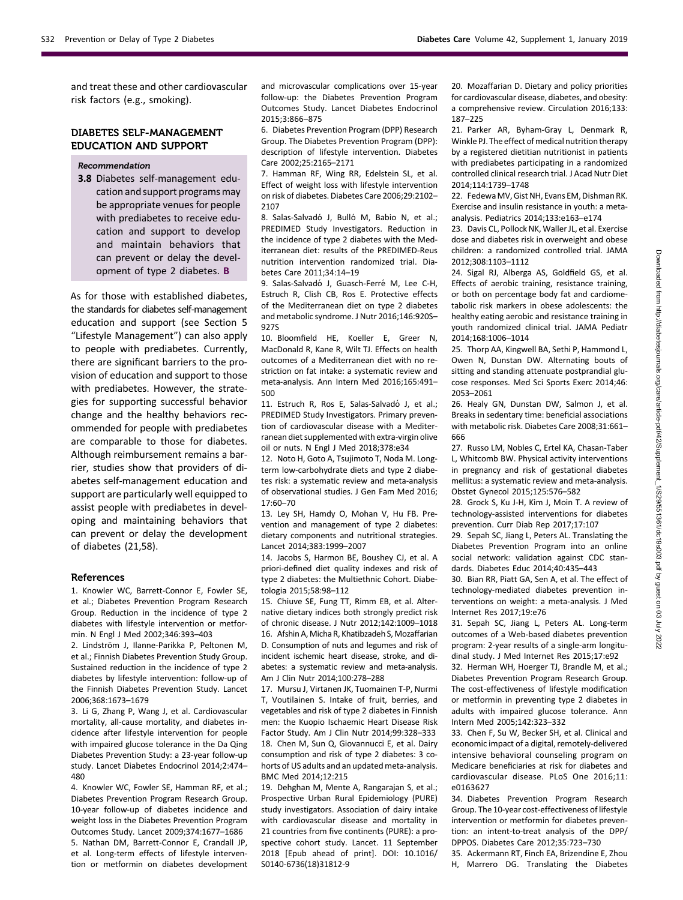and treat these and other cardiovascular risk factors (e.g., smoking).

## DIABETES SELF-MANAGEMENT EDUCATION AND SUPPORT

#### Recommendation

3.8 Diabetes self-management education and support programs may be appropriate venues for people with prediabetes to receive education and support to develop and maintain behaviors that can prevent or delay the development of type 2 diabetes. B

As for those with established diabetes, the standards for diabetes self-management education and support (see Section 5 "[Lifestyle Management](http://care.diabetesjournals.org/lookup/doi/10.2337/dc19-S005)") can also apply to people with prediabetes. Currently, there are significant barriers to the provision of education and support to those with prediabetes. However, the strategies for supporting successful behavior change and the healthy behaviors recommended for people with prediabetes are comparable to those for diabetes. Although reimbursement remains a barrier, studies show that providers of diabetes self-management education and support are particularly well equipped to assist people with prediabetes in developing and maintaining behaviors that can prevent or delay the development of diabetes (21,58).

#### References

1. Knowler WC, Barrett-Connor E, Fowler SE, et al.; Diabetes Prevention Program Research Group. Reduction in the incidence of type 2 diabetes with lifestyle intervention or metformin. N Engl J Med 2002;346:393–403

2. Lindström J, Ilanne-Parikka P, Peltonen M, et al.; Finnish Diabetes Prevention Study Group. Sustained reduction in the incidence of type 2 diabetes by lifestyle intervention: follow-up of the Finnish Diabetes Prevention Study. Lancet 2006;368:1673–1679

3. Li G, Zhang P, Wang J, et al. Cardiovascular mortality, all-cause mortality, and diabetes incidence after lifestyle intervention for people with impaired glucose tolerance in the Da Qing Diabetes Prevention Study: a 23-year follow-up study. Lancet Diabetes Endocrinol 2014;2:474– 480

4. Knowler WC, Fowler SE, Hamman RF, et al.; Diabetes Prevention Program Research Group. 10-year follow-up of diabetes incidence and weight loss in the Diabetes Prevention Program Outcomes Study. Lancet 2009;374:1677–1686 5. Nathan DM, Barrett-Connor E, Crandall JP, et al. Long-term effects of lifestyle intervention or metformin on diabetes development and microvascular complications over 15-year follow-up: the Diabetes Prevention Program Outcomes Study. Lancet Diabetes Endocrinol 2015;3:866–875

6. Diabetes Prevention Program (DPP) Research Group. The Diabetes Prevention Program (DPP): description of lifestyle intervention. Diabetes Care 2002;25:2165–2171

7. Hamman RF, Wing RR, Edelstein SL, et al. Effect of weight loss with lifestyle intervention on risk of diabetes. Diabetes Care 2006;29:2102– 2107

8. Salas-Salvadó J, Bulló M, Babio N, et al.; PREDIMED Study Investigators. Reduction in the incidence of type 2 diabetes with the Mediterranean diet: results of the PREDIMED-Reus nutrition intervention randomized trial. Diabetes Care 2011;34:14–19

9. Salas-Salvadó J, Guasch-Ferré M, Lee C-H, Estruch R, Clish CB, Ros E. Protective effects of the Mediterranean diet on type 2 diabetes and metabolic syndrome. J Nutr 2016;146:920S– 927S

10. Bloomfield HE, Koeller E, Greer N, MacDonald R, Kane R, Wilt TJ. Effects on health outcomes of a Mediterranean diet with no restriction on fat intake: a systematic review and meta-analysis. Ann Intern Med 2016;165:491– 500

11. Estruch R, Ros E, Salas-Salvadó J, et al.; PREDIMED Study Investigators. Primary prevention of cardiovascular disease with a Mediterranean diet supplemented with extra-virgin olive oil or nuts. N Engl J Med 2018;378:e34

12. Noto H, Goto A, Tsujimoto T, Noda M. Longterm low-carbohydrate diets and type 2 diabetes risk: a systematic review and meta-analysis of observational studies. J Gen Fam Med 2016; 17:60–70

13. Ley SH, Hamdy O, Mohan V, Hu FB. Prevention and management of type 2 diabetes: dietary components and nutritional strategies. Lancet 2014;383:1999–2007

14. Jacobs S, Harmon BE, Boushey CJ, et al. A priori-defined diet quality indexes and risk of type 2 diabetes: the Multiethnic Cohort. Diabetologia 2015;58:98–112

15. Chiuve SE, Fung TT, Rimm EB, et al. Alternative dietary indices both strongly predict risk of chronic disease. J Nutr 2012;142:1009–1018 16. Afshin A, Micha R, Khatibzadeh S, Mozaffarian D. Consumption of nuts and legumes and risk of incident ischemic heart disease, stroke, and diabetes: a systematic review and meta-analysis. Am J Clin Nutr 2014;100:278–288

17. Mursu J, Virtanen JK, Tuomainen T-P, Nurmi T, Voutilainen S. Intake of fruit, berries, and vegetables and risk of type 2 diabetes in Finnish men: the Kuopio Ischaemic Heart Disease Risk Factor Study. Am J Clin Nutr 2014;99:328–333 18. Chen M, Sun Q, Giovannucci E, et al. Dairy consumption and risk of type 2 diabetes: 3 cohorts of US adults and an updated meta-analysis. BMC Med 2014;12:215

19. Dehghan M, Mente A, Rangarajan S, et al.; Prospective Urban Rural Epidemiology (PURE) study investigators. Association of dairy intake with cardiovascular disease and mortality in 21 countries from five continents (PURE): a prospective cohort study. Lancet. 11 September 2018 [Epub ahead of print]. DOI: 10.1016/ S0140-6736(18)31812-9

20. Mozaffarian D. Dietary and policy priorities for cardiovascular disease, diabetes, and obesity: a comprehensive review. Circulation 2016;133: 187–225

21. Parker AR, Byham-Gray L, Denmark R Winkle PJ. The effect of medical nutrition therapy by a registered dietitian nutritionist in patients with prediabetes participating in a randomized controlled clinical research trial. J Acad Nutr Diet 2014;114:1739–1748

22. FedewaMV, Gist NH, Evans EM, Dishman RK. Exercise and insulin resistance in youth: a metaanalysis. Pediatrics 2014;133:e163–e174

23. Davis CL, Pollock NK, Waller JL, et al. Exercise dose and diabetes risk in overweight and obese children: a randomized controlled trial. JAMA 2012;308:1103–1112

24. Sigal RJ, Alberga AS, Goldfield GS, et al. Effects of aerobic training, resistance training, or both on percentage body fat and cardiometabolic risk markers in obese adolescents: the healthy eating aerobic and resistance training in youth randomized clinical trial. JAMA Pediatr 2014;168:1006–1014

25. Thorp AA, Kingwell BA, Sethi P, Hammond L, Owen N, Dunstan DW. Alternating bouts of sitting and standing attenuate postprandial glucose responses. Med Sci Sports Exerc 2014;46: 2053–2061

26. Healy GN, Dunstan DW, Salmon J, et al. Breaks in sedentary time: beneficial associations with metabolic risk. Diabetes Care 2008;31:661– 666

27. Russo LM, Nobles C, Ertel KA, Chasan-Taber L, Whitcomb BW. Physical activity interventions in pregnancy and risk of gestational diabetes mellitus: a systematic review and meta-analysis. Obstet Gynecol 2015;125:576–582

28. Grock S, Ku J-H, Kim J, Moin T. A review of technology-assisted interventions for diabetes prevention. Curr Diab Rep 2017;17:107

29. Sepah SC, Jiang L, Peters AL. Translating the Diabetes Prevention Program into an online social network: validation against CDC standards. Diabetes Educ 2014;40:435–443

30. Bian RR, Piatt GA, Sen A, et al. The effect of technology-mediated diabetes prevention interventions on weight: a meta-analysis. J Med Internet Res 2017;19:e76

31. Sepah SC, Jiang L, Peters AL. Long-term outcomes of a Web-based diabetes prevention program: 2-year results of a single-arm longitudinal study. J Med Internet Res 2015;17:e92

32. Herman WH, Hoerger TJ, Brandle M, et al.; Diabetes Prevention Program Research Group. The cost-effectiveness of lifestyle modification or metformin in preventing type 2 diabetes in adults with impaired glucose tolerance. Ann Intern Med 2005;142:323–332

33. Chen F, Su W, Becker SH, et al. Clinical and economic impact of a digital, remotely-delivered intensive behavioral counseling program on Medicare beneficiaries at risk for diabetes and cardiovascular disease. PLoS One 2016;11: e0163627

34. Diabetes Prevention Program Research Group. The 10-year cost-effectiveness of lifestyle intervention or metformin for diabetes prevention: an intent-to-treat analysis of the DPP/ DPPOS. Diabetes Care 2012;35:723–730

35. Ackermann RT, Finch EA, Brizendine E, Zhou

H, Marrero DG. Translating the Diabetes